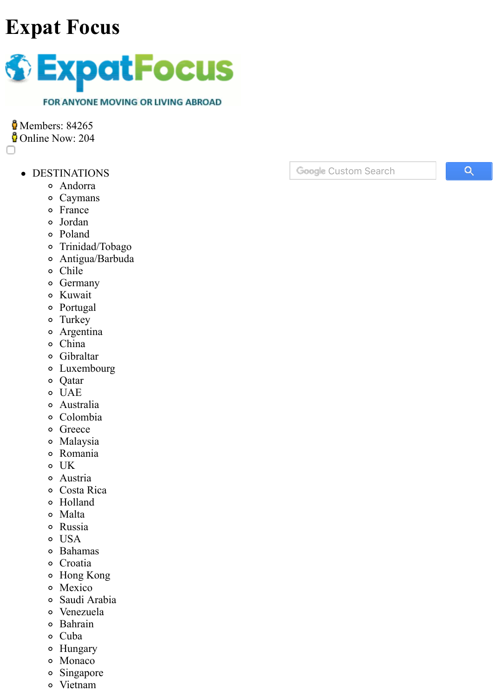# **[Expat Focus](https://www.expatfocus.com/)**



**Members: 84265 Online Now: 204** 

□

- [DESTINATIONS](javascript:void(0);) 
	- [Andorra](https://www.expatfocus.com/destinations/andorra)
	- [Caymans](https://www.expatfocus.com/destinations/caymans)
	- o [France](https://www.expatfocus.com/destinations/france)
	- [Jordan](https://www.expatfocus.com/destinations/jordan)
	- [Poland](https://www.expatfocus.com/destinations/poland)
	- [Trinidad/Tobago](https://www.expatfocus.com/destinations/trinidad-and-tobago)
	- [Antigua/Barbuda](https://www.expatfocus.com/destinations/antigua-and-barbuda)
	- [Chile](https://www.expatfocus.com/destinations/chile)
	- o [Germany](https://www.expatfocus.com/destinations/germany)
	- [Kuwait](https://www.expatfocus.com/destinations/kuwait)
	- [Portugal](https://www.expatfocus.com/destinations/portugal)
	- [Turkey](https://www.expatfocus.com/destinations/turkey)
	- [Argentina](https://www.expatfocus.com/destinations/argentina)
	- [China](https://www.expatfocus.com/destinations/china)
	- [Gibraltar](https://www.expatfocus.com/destinations/gibraltar)
	- [Luxembourg](https://www.expatfocus.com/destinations/luxembourg)
	- [Qatar](https://www.expatfocus.com/destinations/qatar)
	- [UAE](https://www.expatfocus.com/destinations/united-arab-emirates)
	- [Australia](https://www.expatfocus.com/destinations/australia)
	- [Colombia](https://www.expatfocus.com/destinations/colombia)
	- o [Greece](https://www.expatfocus.com/destinations/greece)
	- [Malaysia](https://www.expatfocus.com/destinations/malaysia)
	- [Romania](https://www.expatfocus.com/destinations/romania)
	- o [UK](https://www.expatfocus.com/destinations/united-kingdom)
	- [Austria](https://www.expatfocus.com/destinations/austria)
	- [Costa Rica](https://www.expatfocus.com/destinations/costa-rica)
	- [Holland](https://www.expatfocus.com/destinations/netherlands)
	- [Malta](https://www.expatfocus.com/destinations/malta)
	- [Russia](https://www.expatfocus.com/destinations/russia)
	- o [USA](https://www.expatfocus.com/destinations/united-states)
	- [Bahamas](https://www.expatfocus.com/destinations/bahamas)
	- [Croatia](https://www.expatfocus.com/destinations/croatia)
	- [Hong Kong](https://www.expatfocus.com/destinations/hong-kong)
	- [Mexico](https://www.expatfocus.com/destinations/mexico)
	- [Saudi Arabia](https://www.expatfocus.com/destinations/saudi-arabia)
	- [Venezuela](https://www.expatfocus.com/destinations/venezuela)  $\circ$
	- [Bahrain](https://www.expatfocus.com/destinations/bahrain)
	- [Cuba](https://www.expatfocus.com/destinations/cuba)
	- [Hungary](https://www.expatfocus.com/destinations/hungary)
	- [Monaco](https://www.expatfocus.com/destinations/monaco)
	- [Singapore](https://www.expatfocus.com/destinations/singapore)
	- [Vietnam](https://www.expatfocus.com/destinations/vietnam)

Google Custom Search

Q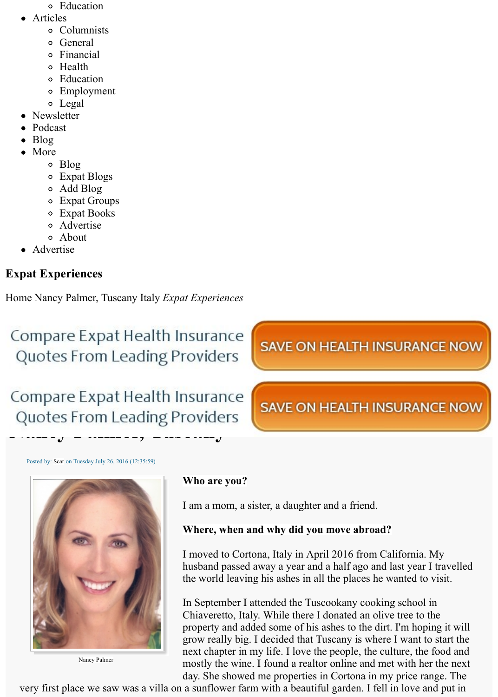- [Education](https://www.expatfocus.com/c/aid=3181/moving-abroad-guide/expat-topics/education/)
- [Articles](javascript:void(0);) 
	- [Columnists](https://www.expatfocus.com/columnists-latest)
	- [General](https://www.expatfocus.com/articles/general)
	- [Financial](https://www.expatfocus.com/articles/financial)
	- [Health](https://www.expatfocus.com/articles/health)
	- [Education](https://www.expatfocus.com/articles/education)
	- [Employment](https://www.expatfocus.com/articles/employment)
	- [Legal](https://www.expatfocus.com/articles/legal)
- [Newsletter](https://www.expatfocus.com/newsletter)
- [Podcast](https://www.expatfocus.com/podcast)
- [Blog](https://www.expatfocus.com/blog)
- [More](javascript:void(0);) 
	- [Blog](https://www.expatfocus.com/blog)
	- [Expat Blogs](https://www.expatfocus.com/blogs)
	- [Add Blog](https://www.expatfocus.com/add-blog)
	- [Expat Groups](https://www.expatfocus.com/expat-groups)
	- [Expat Books](https://www.expatfocus.com/expat-books)
	- [Advertise](https://advertising.expatfocus.com/)
	- [About](https://www.expatfocus.com/about)
	- [Advertise](https://advertising.expatfocus.com/)

### **Expat Experiences**

[Home](https://www.expatfocus.com/index.php) Nancy Palmer, Tuscany [Italy](https://www.expatfocus.com/c/cid=44/) *[Expat Experiences](https://www.expatfocus.com/c/sid=2/)*

Compare Expat Health Insurance Quotes From Leading Providers

## Compare Expat Health Insurance **Quotes From Leading Providers**



Posted by: [Scar](https://www.expatfocus.com/Your_Account/profile=Scar/) on Tuesday July 26, 2016 (12:35:59)



Nancy Palmer

#### **Who are you?**

I am a mom, a sister, a daughter and a friend.

#### **Where, when and why did you move abroad?**

I moved to Cortona, Italy in April 2016 from California. My husband passed away a year and a half ago and last year I travelled the world leaving his ashes in all the places he wanted to visit.

In September I attended the Tuscookany cooking school in Chiaveretto, Italy. While there I donated an olive tree to the property and added some of his ashes to the dirt. I'm hoping it will grow really big. I decided that Tuscany is where I want to start the next chapter in my life. I love the people, the culture, the food and mostly the wine. I found a realtor online and met with her the next day. She showed me properties in Cortona in my price range. The

very first place we saw was a villa on a sunflower farm with a beautiful garden. I fell in love and put in